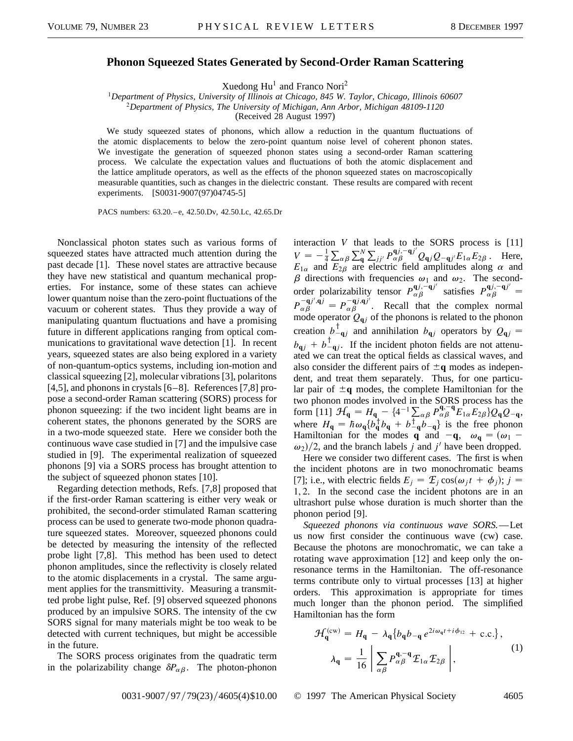## **Phonon Squeezed States Generated by Second-Order Raman Scattering**

Xuedong  $Hu^1$  and Franco Nori<sup>2</sup>

<sup>1</sup>*Department of Physics, University of Illinois at Chicago, 845 W. Taylor, Chicago, Illinois 60607* <sup>2</sup>*Department of Physics, The University of Michigan, Ann Arbor, Michigan 48109-1120*

(Received 28 August 1997)

We study squeezed states of phonons, which allow a reduction in the quantum fluctuations of the atomic displacements to below the zero-point quantum noise level of coherent phonon states. We investigate the generation of squeezed phonon states using a second-order Raman scattering process. We calculate the expectation values and fluctuations of both the atomic displacement and the lattice amplitude operators, as well as the effects of the phonon squeezed states on macroscopically measurable quantities, such as changes in the dielectric constant. These results are compared with recent experiments. [S0031-9007(97)04745-5]

PACS numbers: 63.20. - e, 42.50. Dv, 42.50. Lc, 42.65. Dr

Nonclassical photon states such as various forms of squeezed states have attracted much attention during the past decade [1]. These novel states are attractive because they have new statistical and quantum mechanical properties. For instance, some of these states can achieve lower quantum noise than the zero-point fluctuations of the vacuum or coherent states. Thus they provide a way of manipulating quantum fluctuations and have a promising future in different applications ranging from optical communications to gravitational wave detection [1]. In recent years, squeezed states are also being explored in a variety of non-quantum-optics systems, including ion-motion and classical squeezing [2], molecular vibrations [3], polaritons [4,5], and phonons in crystals  $[6-8]$ . References [7,8] propose a second-order Raman scattering (SORS) process for phonon squeezing: if the two incident light beams are in coherent states, the phonons generated by the SORS are in a two-mode squeezed state. Here we consider both the continuous wave case studied in [7] and the impulsive case studied in [9]. The experimental realization of squeezed phonons [9] via a SORS process has brought attention to the subject of squeezed phonon states [10].

Regarding detection methods, Refs. [7,8] proposed that if the first-order Raman scattering is either very weak or prohibited, the second-order stimulated Raman scattering process can be used to generate two-mode phonon quadrature squeezed states. Moreover, squeezed phonons could be detected by measuring the intensity of the reflected probe light [7,8]. This method has been used to detect phonon amplitudes, since the reflectivity is closely related to the atomic displacements in a crystal. The same argument applies for the transmittivity. Measuring a transmitted probe light pulse, Ref. [9] observed squeezed phonons produced by an impulsive SORS. The intensity of the cw SORS signal for many materials might be too weak to be detected with current techniques, but might be accessible in the future.

The SORS process originates from the quadratic term in the polarizability change  $\delta P_{\alpha\beta}$ . The photon-phonon

interaction *V* that leads to the SORS process is [11]  $V = -\frac{1}{4}$  $\sum_{\alpha\beta}\sum_{\mathbf{q}}^{N}$  $\sum_{j} P_{\alpha\beta}^{\mathbf{q}j,-\mathbf{q}j'} Q_{\mathbf{q}j} Q_{-\mathbf{q}j'} E_{1\alpha} E_{2\beta}$ . Here,  $E_{1\alpha}$  and  $E_{2\beta}$  are electric field amplitudes along  $\alpha$  and  $\beta$  directions with frequencies  $\omega_1$  and  $\omega_2$ . The secondorder polarizability tensor  $P_{\alpha\beta}^{\mathbf{q}j,-\mathbf{q}j'}$  satisfies  $P_{\alpha\beta}^{\mathbf{q}j,-\mathbf{q}j'}=$  $P_{\alpha\beta}^{-qj',qj} = P_{\alpha\beta}^{-qj,qj'}$ . Recall that the complex normal mode operator  $Q_{qj}$  of the phonons is related to the phonon creation  $b_{-qj}^{\dagger}$  and annihilation  $b_{qj}$  operators by  $Q_{qj}$  =  $b_{\mathbf{q}j} + b_{-\mathbf{q}j}^{\dagger}$ . If the incident photon fields are not attenuated we can treat the optical fields as classical waves, and also consider the different pairs of  $\pm q$  modes as independent, and treat them separately. Thus, for one particular pair of  $\pm q$  modes, the complete Hamiltonian for the two phonon modes involved in the SORS process has the form  $[11]$   $\mathcal{H}_{\mathbf{q}} = H_{\mathbf{q}} - \{4^{-1}\sum_{\alpha\beta} P_{\alpha\beta}^{\mathbf{q}, -\mathbf{q}} E_{1\alpha} E_{2\beta} \} Q_{\mathbf{q}} Q_{-\mathbf{q}},$ where  $H_q = \hbar \omega_q \{ b_q^{\dagger} b_q + b_{-q}^{\dagger} b_{-q} \}$  is the free phonon Hamiltonian for the modes **q** and  $-\mathbf{q}$ ,  $\omega_{\mathbf{q}} = (\omega_1 - \mathbf{q})$  $\omega_2/2$ , and the branch labels *j* and *j'* have been dropped.

Here we consider two different cases. The first is when the incident photons are in two monochromatic beams [7]; i.e., with electric fields  $E_i = \mathcal{E}_i \cos(\omega_i t + \phi_i); j =$ 1, 2. In the second case the incident photons are in an ultrashort pulse whose duration is much shorter than the phonon period [9].

*Squeezed phonons via continuous wave SORS.*—Let us now first consider the continuous wave (cw) case. Because the photons are monochromatic, we can take a rotating wave approximation [12] and keep only the onresonance terms in the Hamiltonian. The off-resonance terms contribute only to virtual processes [13] at higher orders. This approximation is appropriate for times much longer than the phonon period. The simplified Hamiltonian has the form

$$
\mathcal{H}_{\mathbf{q}}^{(\text{cw})} = H_{\mathbf{q}} - \lambda_{\mathbf{q}} \{ b_{\mathbf{q}} b_{-\mathbf{q}} e^{2i\omega_{\mathbf{q}} t + i\phi_{12}} + \text{c.c.} \},
$$
\n
$$
\lambda_{\mathbf{q}} = \frac{1}{16} \left| \sum_{\alpha\beta} P_{\alpha\beta}^{\mathbf{q}, -\mathbf{q}} \mathcal{E}_{1\alpha} \mathcal{E}_{2\beta} \right|,
$$
\n
$$
(1)
$$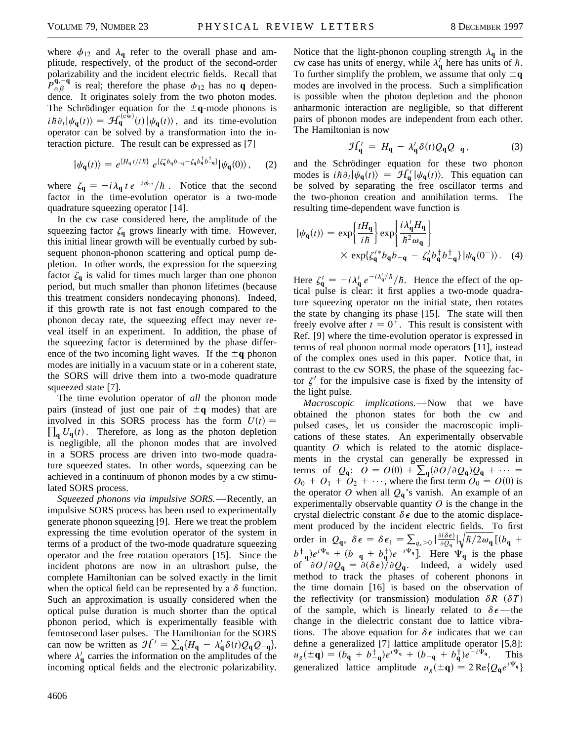where  $\phi_{12}$  and  $\lambda_q$  refer to the overall phase and amplitude, respectively, of the product of the second-order polarizability and the incident electric fields. Recall that  $P_{\alpha\beta}^{\mathbf{q},-\mathbf{q}}$  is real; therefore the phase  $\phi_{12}$  has no **q** dependence. It originates solely from the two photon modes. The Schrödinger equation for the  $\pm q$ -mode phonons is  $i\hbar\partial_t|\psi_{\bf q}(t)\rangle = \mathcal{H}_{\bf q}^{(\text{cw})}(t)|\psi_{\bf q}(t)\rangle$ , and its time-evolution operator can be solved by a transformation into the interaction picture. The result can be expressed as [7]

$$
|\psi_{\mathbf{q}}(t)\rangle = e^{\{H_{\mathbf{q}}t/i\hbar\}} e^{\{\zeta_{\mathbf{q}}^*b_{\mathbf{q}}b_{-\mathbf{q}} - \zeta_{\mathbf{q}}b_{\mathbf{q}}^{\dagger}b_{-\mathbf{q}}^{\dagger}\}}|\psi_{\mathbf{q}}(0)\rangle, \quad (2)
$$

where  $\zeta_q = -i\lambda_q t e^{-i\phi_{12}}/\hbar$ . Notice that the second factor in the time-evolution operator is a two-mode quadrature squeezing operator [14].

In the cw case considered here, the amplitude of the squeezing factor  $\zeta_q$  grows linearly with time. However, this initial linear growth will be eventually curbed by subsequent phonon-phonon scattering and optical pump depletion. In other words, the expression for the squeezing factor  $\zeta_q$  is valid for times much larger than one phonon period, but much smaller than phonon lifetimes (because this treatment considers nondecaying phonons). Indeed, if this growth rate is not fast enough compared to the phonon decay rate, the squeezing effect may never reveal itself in an experiment. In addition, the phase of the squeezing factor is determined by the phase difference of the two incoming light waves. If the  $\pm q$  phonon modes are initially in a vacuum state or in a coherent state, the SORS will drive them into a two-mode quadrature squeezed state [7].

The time evolution operator of *all* the phonon mode pairs (instead of just one pair of  $\pm q$  modes) that are  $\prod_{\mathbf{q}} U_{\mathbf{q}}(t)$ . Therefore, as long as the photon depletion involved in this SORS process has the form  $U(t)$  = is negligible, all the phonon modes that are involved in a SORS process are driven into two-mode quadrature squeezed states. In other words, squeezing can be achieved in a continuum of phonon modes by a cw stimulated SORS process.

*Squeezed phonons via impulsive SORS.*—Recently, an impulsive SORS process has been used to experimentally generate phonon squeezing [9]. Here we treat the problem expressing the time evolution operator of the system in terms of a product of the two-mode quadrature squeezing operator and the free rotation operators [15]. Since the incident photons are now in an ultrashort pulse, the complete Hamiltonian can be solved exactly in the limit when the optical field can be represented by a  $\delta$  function. Such an approximation is usually considered when the optical pulse duration is much shorter than the optical phonon period, which is experimentally feasible with femtosecond laser pulses. The Hamiltonian for the SORS can now be written as  $\mathcal{H}' = \sum_{\mathbf{q}} \{H_{\mathbf{q}} - \lambda_{\mathbf{q}}' \delta(t) Q_{\mathbf{q}} Q_{-\mathbf{q}}\},\$ where  $\lambda'_{\mathbf{q}}$  carries the information on the amplitudes of the incoming optical fields and the electronic polarizability.

$$
\mathcal{H}_{\mathbf{q}}' = H_{\mathbf{q}} - \lambda_{\mathbf{q}}' \delta(t) Q_{\mathbf{q}} Q_{-\mathbf{q}} , \qquad (3)
$$

and the Schrödinger equation for these two phonon modes is  $i\hbar\partial_t|\psi_q(t)\rangle = \mathcal{H}_q'|\psi_q(t)\rangle$ . This equation can be solved by separating the free oscillator terms and the two-phonon creation and annihilation terms. The resulting time-dependent wave function is

Notice that the light-phonon coupling strength  $\lambda_q$  in the

$$
|\psi_{\mathbf{q}}(t)\rangle = \exp\left\{\frac{tH_{\mathbf{q}}}{i\hbar}\right\} \exp\left\{\frac{i\lambda_{\mathbf{q}}'H_{\mathbf{q}}}{\hbar^2\omega_{\mathbf{q}}}\right\}
$$

$$
\times \exp\{\zeta_{\mathbf{q}}'^*b_{\mathbf{q}}b_{-\mathbf{q}} - \zeta_{\mathbf{q}}'b_{\mathbf{q}}^\dagger b_{-\mathbf{q}}^\dagger\}\,|\psi_{\mathbf{q}}(0^-)\rangle. \tag{4}
$$

Here  $\zeta_{\bf q}^{\prime} = -i\lambda_{\bf q}^{\prime}e^{-i\lambda_{\bf q}^{\prime}/\hbar}/\hbar$ . Hence the effect of the optical pulse is clear: it first applies a two-mode quadrature squeezing operator on the initial state, then rotates the state by changing its phase [15]. The state will then freely evolve after  $t = 0^+$ . This result is consistent with Ref. [9] where the time-evolution operator is expressed in terms of real phonon normal mode operators [11], instead of the complex ones used in this paper. Notice that, in contrast to the cw SORS, the phase of the squeezing factor  $\zeta'$  for the impulsive case is fixed by the intensity of the light pulse.

*Macroscopic implications.*—Now that we have obtained the phonon states for both the cw and pulsed cases, let us consider the macroscopic implications of these states. An experimentally observable quantity *O* which is related to the atomic displacements in the crystal can generally be expressed in terms of  $Q_q$ :  $O = O(0) + \sum_q (\partial O/\partial Q_q)Q_q + \cdots$  $O_0 + O_1 + O_2 + \cdots$ , where the first term  $O_0 = O(0)$  is the operator O when all  $Q_{q}$ 's vanish. An example of an experimentally observable quantity  $O$  is the change in the crystal dielectric constant  $\delta \epsilon$  due to the atomic displacement produced by the incident electric fields. To first order in  $Q_{\mathbf{q}}$ ,  $\delta \epsilon = \delta \epsilon_1 = \sum_{q_x > 0} \left| \frac{\partial (\delta \epsilon)}{\partial Q_{\mathbf{q}}} \right|$  $\frac{11}{1}$  $\hbar/2\omega_{\mathbf{q}}$   $[(b_{\mathbf{q}} +$  $b^{\dagger}_{-q}$  $e^{i\Psi_q} + (b_{-q} + b^{\dagger}_{q})e^{-i\Psi_q}$ . Here  $\Psi_q$  is the phase of  $\partial O/\partial Q_q = \partial (\delta \epsilon)/\partial Q_q$ . Indeed, a widely used method to track the phases of coherent phonons in the time domain [16] is based on the observation of the reflectivity (or transmission) modulation  $\delta R$  ( $\delta T$ ) of the sample, which is linearly related to  $\delta \epsilon$ —the change in the dielectric constant due to lattice vibrations. The above equation for  $\delta \epsilon$  indicates that we can define a generalized [7] lattice amplitude operator [5,8]:  $u_g(\pm \mathbf{q}) = (b_{\mathbf{q}} + b_{-\mathbf{q}}^{\dagger})e^{i\Psi_{\mathbf{q}}} + (b_{-\mathbf{q}} + b_{\mathbf{q}}^{\dagger})e^{-i\Psi_{\mathbf{q}}}$ . This generalized lattice amplitude  $u_g(\pm \mathbf{q}) = 2 \operatorname{Re} \{ Q_{\mathbf{q}} e^{i\Psi_{\mathbf{q}}} \}$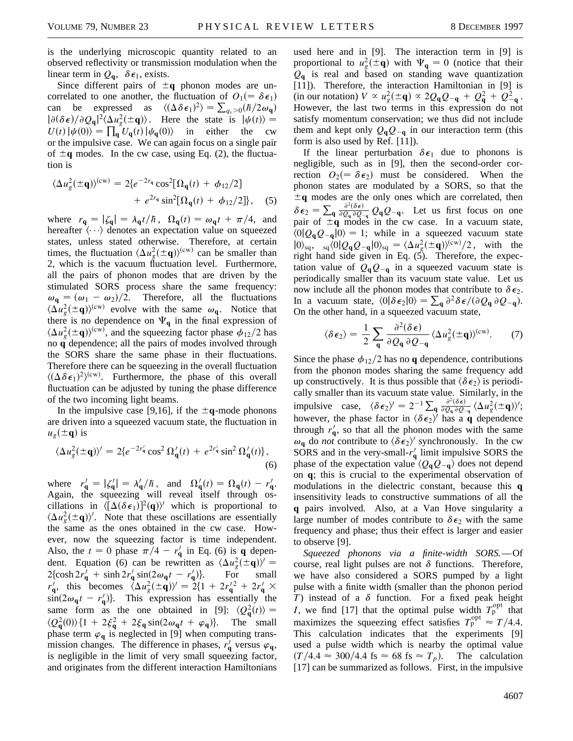is the underlying microscopic quantity related to an observed reflectivity or transmission modulation when the linear term in  $Q_{q}$ ,  $\delta \epsilon_1$ , exists.

Since different pairs of  $\pm q$  phonon modes are uncorrelated to one another, the fluctuation of  $O_1(=\delta \epsilon_1)$ can be expressed as  $\langle (\Delta \delta \epsilon_1)^2 \rangle = \sum_{q_x > 0} (h/2\omega_q)$  $|\partial(\delta \epsilon)/\partial Q_{\bf q}|^2 \langle \Delta u_g^2(\pm {\bf q}) \rangle$ . Here the state is  $|\psi(t) \rangle =$  $U(t) |\psi(0)\rangle = \prod_{\mathbf{q}} U_{\mathbf{q}}(t) |\psi_{\mathbf{q}}(0)\rangle$  in either the cw or the impulsive case. We can again focus on a single pair of  $\pm q$  modes. In the cw case, using Eq. (2), the fluctuation is

$$
\langle \Delta u_g^2(\pm \mathbf{q}) \rangle^{(\text{cw})} = 2 \{ e^{-2r_{\mathbf{q}}} \cos^2[\Omega_{\mathbf{q}}(t) + \phi_{12}/2] + e^{2r_{\mathbf{q}}} \sin^2[\Omega_{\mathbf{q}}(t) + \phi_{12}/2] \}, \quad (5)
$$

where  $r_{\mathbf{q}} = |\zeta_{\mathbf{q}}| = \lambda_{\mathbf{q}} t / \hbar$ ,  $\Omega_{\mathbf{q}}(t) = \omega_{\mathbf{q}} t + \pi/4$ , and hereafter  $\langle \cdots \rangle$  denotes an expectation value on squeezed states, unless stated otherwise. Therefore, at certain times, the fluctuation  $\langle \Delta u_g^2(\pm \mathbf{q}) \rangle^{(cw)}$  can be smaller than 2, which is the vacuum fluctuation level. Furthermore, all the pairs of phonon modes that are driven by the stimulated SORS process share the same frequency:  $\omega_{\mathbf{q}} = (\omega_1 - \omega_2)/2$ . Therefore, all the fluctuations  $\langle \Delta u_g^2(\pm \mathbf{q}) \rangle^{(cw)}$  evolve with the same  $\omega_{\mathbf{q}}$ . Notice that there is no dependence on  $\Psi_q$  in the final expression of  $\langle \Delta u_g^2(\pm \mathbf{q}) \rangle^{(cw)}$ , and the squeezing factor phase  $\phi_{12}/2$  has no **q** dependence; all the pairs of modes involved through the SORS share the same phase in their fluctuations. Therefore there can be squeezing in the overall fluctuation  $\langle (\Delta \delta \epsilon_1)^2 \rangle^{\text{(cw)}}$ . Furthermore, the phase of this overall fluctuation can be adjusted by tuning the phase difference of the two incoming light beams.

In the impulsive case [9,16], if the  $\pm q$ -mode phonons are driven into a squeezed vacuum state, the fluctuation in  $u_g(\pm \mathbf{q})$  is

$$
\langle \Delta u_g^2(\pm \mathbf{q}) \rangle' = 2\{ e^{-2r'_\mathbf{q}} \cos^2 \Omega'_\mathbf{q}(t) + e^{2r'_\mathbf{q}} \sin^2 \Omega'_\mathbf{q}(t) \},\tag{6}
$$

where  $r'_q = |\zeta'_q| = \lambda'_q/\hbar$ , and  $\Omega'_q(t) = \Omega_q(t) - r'_q$ . Again, the squeezing will reveal itself through oscillations in  $\langle [\Delta(\delta\epsilon_1)]^2(q)\rangle$  which is proportional to  $\langle \Delta u_g^2(\pm \mathbf{q}) \rangle'$ . Note that these oscillations are essentially the same as the ones obtained in the cw case. However, now the squeezing factor is time independent. Also, the  $t = 0$  phase  $\pi/4 - r'_q$  in Eq. (6) is **q** dependent. Equation (6) can be rewritten as  $\langle \Delta u_g^2(\pm \mathbf{q}) \rangle' =$  $2\{\cosh 2r_{\mathbf{q}}' + \sinh 2r_{\mathbf{q}}' \sin(2\omega_{\mathbf{q}}t - r_{\mathbf{q}}')\}.$  For small *r*<sub>q</sub><sup>1</sup>, this becomes  $\langle \Delta u_g^2(\pm \mathbf{q}) \rangle^{\prime} = 2\{1 + 2r_g^{\prime 2} + 2r_g^{\prime} \times$  $\sin(2\omega_{\mathbf{q}}t - r_{\mathbf{q}}')$ . This expression has essentially the same form as the one obtained in [9]:  $\langle Q_{\mathbf{q}}^2(t) \rangle$  =  $\langle Q_{\mathbf{q}}^2(0) \rangle$  {1 + 2 $\xi_{\mathbf{q}}^2$  + 2 $\xi_{\mathbf{q}}$  sin(2 $\omega_{\mathbf{q}}t$  +  $\varphi_{\mathbf{q}}$ )}. The small phase term  $\varphi_q$  is neglected in [9] when computing transmission changes. The difference in phases,  $r_{q}^{'}$  versus  $\varphi_{q}$ , is negligible in the limit of very small squeezing factor, and originates from the different interaction Hamiltonians used here and in [9]. The interaction term in [9] is proportional to  $u_g^2(\pm \mathbf{q})$  with  $\Psi_{\mathbf{q}} = 0$  (notice that their  $Q_{q}$  is real and based on standing wave quantization [11]). Therefore, the interaction Hamiltonian in [9] is  $(i \text{ in our notation}) V \propto u_g^2(\pm \mathbf{q}) \propto 2Q_{\mathbf{q}}Q_{-\mathbf{q}} + Q_{\mathbf{q}}^2 + Q_{-\mathbf{q}}^2$ . However, the last two terms in this expression do not satisfy momentum conservation; we thus did not include them and kept only  $Q_qQ_{-q}$  in our interaction term (this form is also used by Ref. [11]).

If the linear perturbation  $\delta \epsilon_1$  due to phonons is negligible, such as in [9], then the second-order correction  $O_2(=\delta \epsilon_2)$  must be considered. When the phonon states are modulated by a SORS, so that the  $\pm q$  modes are the only ones which are correlated, then  $\delta \epsilon_2 = \sum_{\mathbf{q}}$  $\frac{\partial^2 (\delta \epsilon)}{\partial Q_q \partial Q_{-q}} Q_q Q_{-q}$ . Let us first focus on one pair of  $\pm \mathbf{q}$  modes in the cw case. In a vacuum state,  $\langle 0|Q_{\bf q}Q_{\bf q}|0\rangle = 1$ ; while in a squeezed vacuum state  $|0\rangle_{\text{sq}}$ ,  ${}_{\text{sq}}\langle 0|Q_{\text{q}}Q_{-\text{q}}|0\rangle_{\text{sq}} = \langle \Delta u_g^2(\pm \text{q})\rangle^{(\text{cw})}/2$ , with the right hand side given in Eq.  $(5)$ . Therefore, the expectation value of  $Q_qQ_{-q}$  in a squeezed vacuum state is periodically smaller than its vacuum state value. Let us now include all the phonon modes that contribute to  $\delta \epsilon_2$ . In a vacuum state,  $\langle 0 | \delta \epsilon_2 | 0 \rangle = \sum_{\mathbf{q}} \frac{\partial^2 \delta \epsilon}{\partial Q_{\mathbf{q}}} \frac{\partial^2 \rho}{\partial Q_{-\mathbf{q}}}$ . On the other hand, in a squeezed vacuum state,

$$
\langle \delta \epsilon_2 \rangle = \frac{1}{2} \sum_{\mathbf{q}} \frac{\partial^2 (\delta \epsilon)}{\partial Q_{\mathbf{q}} \partial Q_{-\mathbf{q}}} \langle \Delta u_g^2 (\pm \mathbf{q}) \rangle^{(cw)}.
$$
 (7)

Since the phase  $\phi_{12}/2$  has no **q** dependence, contributions from the phonon modes sharing the same frequency add up constructively. It is thus possible that  $\langle \delta \epsilon_2 \rangle$  is periodically smaller than its vacuum state value. Similarly, in the impulsive case,  $\langle \delta \epsilon_2 \rangle^{\prime} = 2^{-1} \sum_{\mathbf{q}} \frac{\partial^2 (\delta \epsilon)}{\partial q_{\mathbf{q}} \partial Q_{\mathbf{q}}} \langle \Delta u_g^2(\pm \mathbf{q}) \rangle^{\prime}$ ; however, the phase factor in  $\langle \delta \epsilon_2 \rangle^i$  has a **q** dependence through  $r'_q$ , so that all the phonon modes with the same  $\omega_{\mathbf{q}}$  do *not* contribute to  $\langle \delta \epsilon_2 \rangle$  synchronously. In the cw SORS and in the very-small- $r'_{q}$  limit impulsive SORS the phase of the expectation value  $\langle Q_{\bf q} Q_{\bf -q} \rangle$  does not depend on **q**; this is crucial to the experimental observation of modulations in the dielectric constant, because this **q** insensitivity leads to constructive summations of all the **q** pairs involved. Also, at a Van Hove singularity a large number of modes contribute to  $\delta \epsilon_2$  with the same frequency and phase; thus their effect is larger and easier to observe [9].

*Squeezed phonons via a finite-width SORS.*—Of course, real light pulses are not  $\delta$  functions. Therefore, we have also considered a SORS pumped by a light pulse with a finite width (smaller than the phonon period *T*) instead of a  $\delta$  function. For a fixed peak height *I*, we find [17] that the optimal pulse width  $T_p^{\text{opt}}$  that maximizes the squeezing effect satisfies  $T_p^{\text{opt}} \approx T/4.4$ . This calculation indicates that the experiments [9] used a pulse width which is nearby the optimal value  $(T/4.4 \approx 300/4.4 \text{ fs} \approx 68 \text{ fs} \approx T_p)$ . The calculation [17] can be summarized as follows. First, in the impulsive